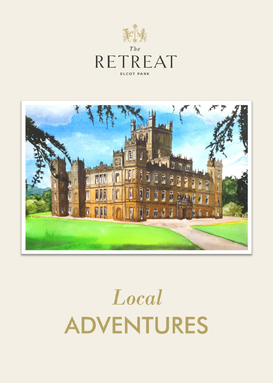



# Local **ADVENTURES**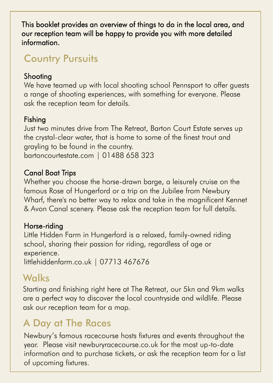This booklet provides an overview of things to do in the local area, and our reception team will be happy to provide you with more detailed information.

## Country Pursuits

#### Shooting

We have teamed up with local shooting school Pennsport to offer guests a range of shooting experiences, with something for everyone. Please ask the reception team for details.

#### Fishing

Just two minutes drive from The Retreat, Barton Court Estate serves up the crystal-clear water, that is home to some of the finest trout and grayling to be found in the country. bartoncourtestate.com | 01488 658 323

#### Canal Boat Trips

Whether you choose the horse-drawn barge, a leisurely cruise on the famous Rose of Hungerford or a trip on the Jubilee from Newbury Wharf, there's no better way to relax and take in the magnificent Kennet & Avon Canal scenery. Please ask the reception team for full details.

#### Horse-riding

Little Hidden Farm in Hungerford is a relaxed, family-owned riding school, sharing their passion for riding, regardless of age or experience. littlehiddenfarm.co.uk | 07713 467676

## **Walks**

Starting and finishing right here at The Retreat, our 5kn and 9km walks are a perfect way to discover the local countryside and wildlife. Please ask our reception team for a map.

# A Day at The Races

Newbury's famous racecourse hosts fixtures and events throughout the year. Please visit newburyracecourse.co.uk for the most up-to-date information and to purchase tickets, or ask the reception team for a list of upcoming fixtures.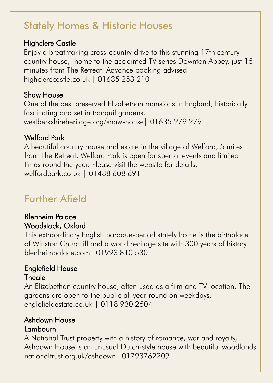## Stately Homes & Historic Houses

#### Highclere Castle

Enjoy a breathtaking cross-country drive to this stunning 17th century country house, home to the acclaimed TV series Downton Abbey, just 15 minutes from The Retreat. Advance booking advised. highclerecastle.co.uk | 01635 253 210

#### Shaw House

One of the best preserved Elizabethan mansions in England, historically fascinating and set in tranquil gardens. westberkshireheritage.org/shaw-house| 01635 279 279

#### Welford Park

A beautiful country house and estate in the village of Welford, 5 miles from The Retreat, Welford Park is open for special events and limited times round the year. Please visit the website for details. welfordpark.co.uk | 01488 608 691

# Further Afield

#### Blenheim Palace Woodstock, Oxford

This extraordinary English baroque-period stately home is the birthplace of Winston Churchill and a world heritage site with 300 years of history. blenheimpalace.com| 01993 810 530

#### Englefield House **Theale**

An Elizabethan country house, often used as a film and TV location. The gardens are open to the public all year round on weekdays. englefieldestate.co.uk | 0118 930 2504

#### Ashdown House Lambourn

A National Trust property with a history of romance, war and royalty, Ashdown House is an unusual Dutch-style house with beautiful woodlands. nationaltrust.org.uk/ashdown |01793762209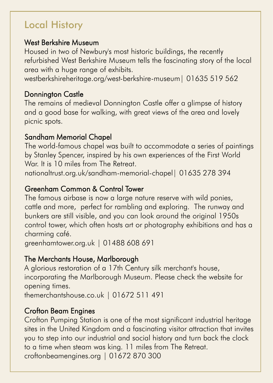# Local History

#### West Berkshire Museum

Housed in two of Newbury's most historic buildings, the recently refurbished West Berkshire Museum tells the fascinating story of the local area with a huge range of exhibits.

westberkshireheritage.org/west-berkshire-museum| 01635 519 562

#### Donnington Castle

The remains of medieval Donnington Castle offer a glimpse of history and a good base for walking, with great views of the area and lovely picnic spots.

#### Sandham Memorial Chapel

The world-famous chapel was built to accommodate a series of paintings by Stanley Spencer, inspired by his own experiences of the First World War. It is 10 miles from The Retreat.

nationaltrust.org.uk/sandham-memorial-chapel| 01635 278 394

#### Greenham Common & Control Tower

The famous airbase is now a large nature reserve with wild ponies, cattle and more, perfect for rambling and exploring. The runway and bunkers are still visible, and you can look around the original 1950s control tower, which often hosts art or photography exhibitions and has a charming café.

greenhamtower.org.uk | 01488 608 691

#### The Merchants House, Marlborough

A glorious restoration of a 17th Century silk merchant's house, incorporating the Marlborough Museum. Please check the website for opening times.

themerchantshouse.co.uk | 01672 511 491

#### Crofton Beam Engines

Crofton Pumping Station is one of the most significant industrial heritage sites in the United Kingdom and a fascinating visitor attraction that invites you to step into our industrial and social history and turn back the clock to a time when steam was king. 11 miles from The Retreat. croftonbeamengines.org | 01672 870 300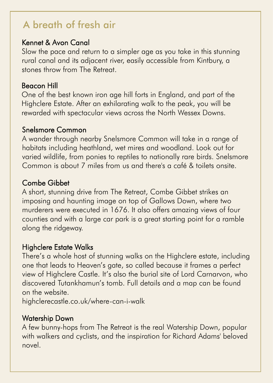# A breath of fresh air

#### Kennet & Avon Canal

Slow the pace and return to a simpler age as you take in this stunning rural canal and its adjacent river, easily accessible from Kintbury, a stones throw from The Retreat.

#### Beacon Hill

One of the best known iron age hill forts in England, and part of the Highclere Estate. After an exhilarating walk to the peak, you will be rewarded with spectacular views across the North Wessex Downs.

#### Snelsmore Common

A wander through nearby Snelsmore Common will take in a range of habitats including heathland, wet mires and woodland. Look out for varied wildlife, from ponies to reptiles to nationally rare birds. Snelsmore Common is about 7 miles from us and there's a café & toilets onsite.

#### Combe Gibbet

A short, stunning drive from The Retreat, Combe Gibbet strikes an imposing and haunting image on top of Gallows Down, where two murderers were executed in 1676. It also offers amazing views of four counties and with a large car park is a great starting point for a ramble along the ridgeway.

#### Highclere Estate Walks

There's a whole host of stunning walks on the Highclere estate, including one that leads to Heaven's gate, so called because it frames a perfect view of Highclere Castle. It's also the burial site of Lord Carnarvon, who discovered Tutankhamun's tomb. Full details and a map can be found on the website.

highclerecastle.co.uk/where-can-i-walk

#### Watership Down

A few bunny-hops from The Retreat is the real Watership Down, popular with walkers and cyclists, and the inspiration for Richard Adams' beloved novel.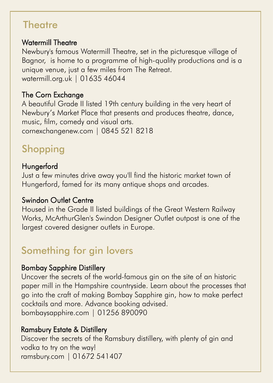### **Theatre**

#### Watermill Theatre

Newbury's famous Watermill Theatre, set in the picturesque village of Bagnor, is home to a programme of high-quality productions and is a unique venue, just a few miles from The Retreat. watermill.org.uk | 01635 46044

#### The Corn Exchange

A beautiful Grade II listed 19th century building in the very heart of Newbury's Market Place that presents and produces theatre, dance, music, film, comedy and visual arts. cornexchangenew.com | 0845 521 8218

# **Shopping**

#### **Hungerford**

Just a few minutes drive away you'll find the historic market town of Hungerford, famed for its many antique shops and arcades.

#### Swindon Outlet Centre

Housed in the Grade II listed buildings of the Great Western Railway Works, McArthurGlen's Swindon Designer Outlet outpost is one of the largest covered designer outlets in Europe.

# Something for gin lovers

#### Bombay Sapphire Distillery

Uncover the secrets of the world-famous gin on the site of an historic paper mill in the Hampshire countryside. Learn about the processes that go into the craft of making Bombay Sapphire gin, how to make perfect cocktails and more. Advance booking advised. bombaysapphire.com | 01256 890090

#### Ramsbury Estate & Distillery

Discover the secrets of the Ramsbury distillery, with plenty of gin and vodka to try on the way! ramsbury.com | 01672 541407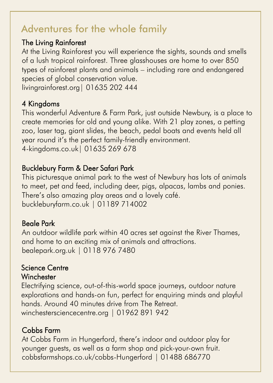## Adventures for the whole family

#### The Living Rainforest

At the Living Rainforest you will experience the sights, sounds and smells of a lush tropical rainforest. Three glasshouses are home to over 850 types of rainforest plants and animals – including rare and endangered species of global conservation value. livingrainforest.org| 01635 202 444

#### 4 Kingdoms

This wonderful Adventure & Farm Park, just outside Newbury, is a place to create memories for old and young alike. With 21 play zones, a petting zoo, laser tag, giant slides, the beach, pedal boats and events held all year round it's the perfect family-friendly environment. 4-kingdoms.co.uk| 01635 269 678

#### Bucklebury Farm & Deer Safari Park

This picturesque animal park to the west of Newbury has lots of animals to meet, pet and feed, including deer, pigs, alpacas, lambs and ponies. There's also amazing play areas and a lovely café. buckleburyfarm.co.uk | 01189 714002

#### Beale Park

An outdoor wildlife park within 40 acres set against the River Thames, and home to an exciting mix of animals and attractions. bealepark.org.uk | 0118 976 7480

#### Science Centre **Winchester**

Electrifying science, out-of-this-world space journeys, outdoor nature explorations and hands-on fun, perfect for enquiring minds and playful hands. Around 40 minutes drive from The Retreat. winchestersciencecentre.org | 01962 891 942

#### Cobbs Farm

At Cobbs Farm in Hungerford, there's indoor and outdoor play for younger guests, as well as a farm shop and pick-your-own fruit. cobbsfarmshops.co.uk/cobbs-Hungerford | 01488 686770